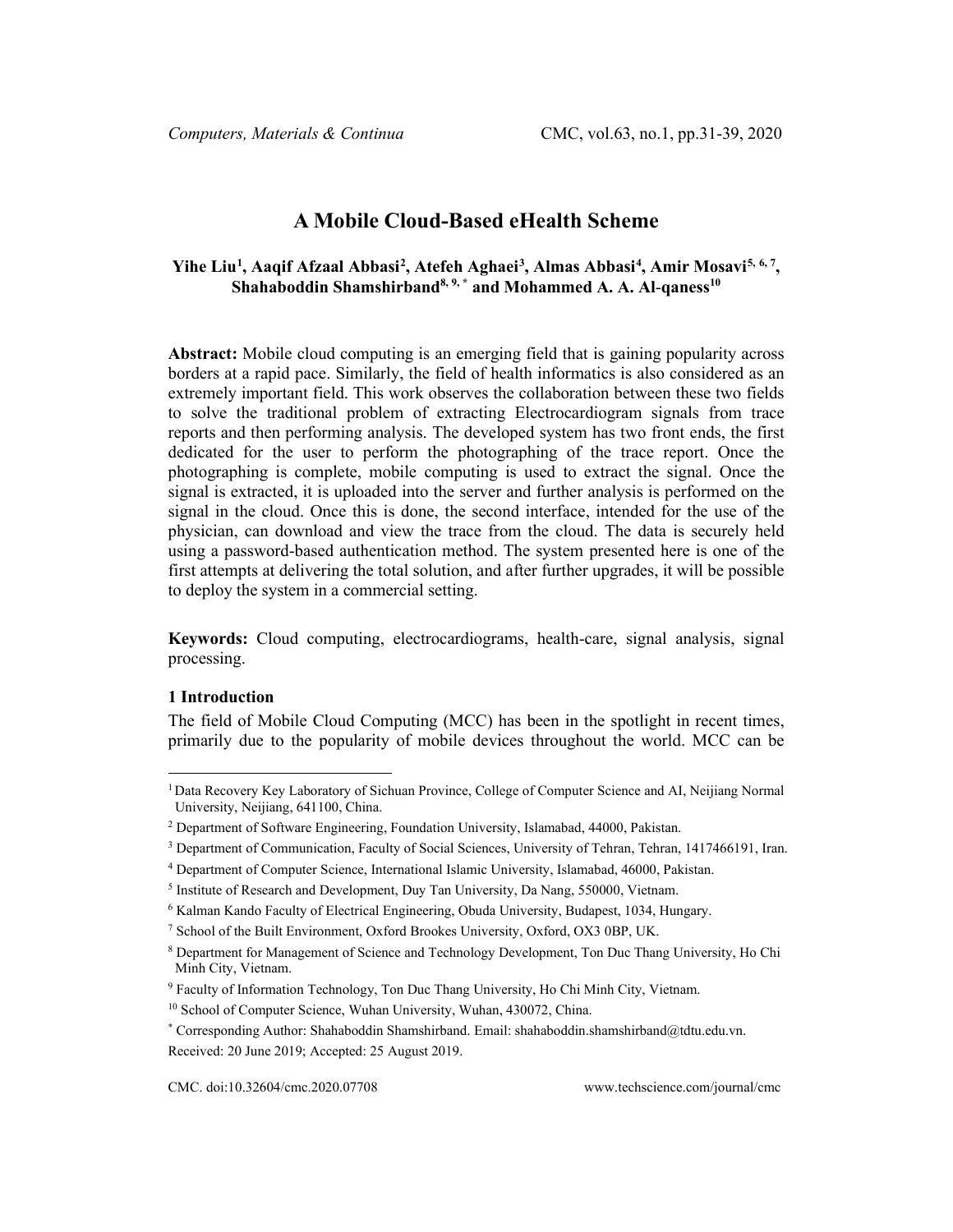# **A Mobile Cloud-Based eHealth Scheme**

# **Yihe Li[u1](#page-0-0) , Aaqif Afzaal Abbasi[2](#page-0-1) , Atefeh Aghaei[3](#page-0-2) , Almas Abbasi[4](#page-0-3) , Amir Mosavi[5,](#page-0-4) [6](#page-0-5), 7, Shahaboddin Shamshirband8, 9, \* and Mohammed A. A. Al**-**qaness10**

**Abstract:** Mobile cloud computing is an emerging field that is gaining popularity across borders at a rapid pace. Similarly, the field of health informatics is also considered as an extremely important field. This work observes the collaboration between these two fields to solve the traditional problem of extracting Electrocardiogram signals from trace reports and then performing analysis. The developed system has two front ends, the first dedicated for the user to perform the photographing of the trace report. Once the photographing is complete, mobile computing is used to extract the signal. Once the signal is extracted, it is uploaded into the server and further analysis is performed on the signal in the cloud. Once this is done, the second interface, intended for the use of the physician, can download and view the trace from the cloud. The data is securely held using a password-based authentication method. The system presented here is one of the first attempts at delivering the total solution, and after further upgrades, it will be possible to deploy the system in a commercial setting.

**Keywords:** Cloud computing, electrocardiograms, health-care, signal analysis, signal processing.

### **1 Introduction**

The field of Mobile Cloud Computing (MCC) has been in the spotlight in recent times, primarily due to the popularity of mobile devices throughout the world. MCC can be

<span id="page-0-0"></span><sup>1</sup> Data Recovery Key Laboratory of Sichuan Province, College of Computer Science and AI, Neijiang Normal University, Neijiang, 641100, China.

<span id="page-0-1"></span><sup>2</sup> Department of Software Engineering, Foundation University, Islamabad, 44000, Pakistan.

<span id="page-0-2"></span><sup>3</sup> Department of Communication, Faculty of Social Sciences, University of Tehran, Tehran, 1417466191, Iran.

<span id="page-0-3"></span><sup>4</sup> Department of Computer Science, International Islamic University, Islamabad, 46000, Pakistan.

<span id="page-0-4"></span><sup>5</sup> Institute of Research and Development, Duy Tan University, Da Nang, 550000, Vietnam.

<sup>6</sup> Kalman Kando Faculty of Electrical Engineering, Obuda University, Budapest, 1034, Hungary.

<sup>7</sup> School of the Built Environment, Oxford Brookes University, Oxford, OX3 0BP, UK.

<span id="page-0-5"></span><sup>8</sup> Department for Management of Science and Technology Development, Ton Duc Thang University, Ho Chi Minh City, Vietnam.

<sup>9</sup> Faculty of Information Technology, Ton Duc Thang University, Ho Chi Minh City, Vietnam.

<sup>&</sup>lt;sup>10</sup> School of Computer Science, Wuhan University, Wuhan, 430072, China.

<sup>\*</sup> Corresponding Author: Shahaboddin Shamshirband. Email: shahaboddin.shamshirband@tdtu.edu.vn. Received: 20 June 2019; Accepted: 25 August 2019.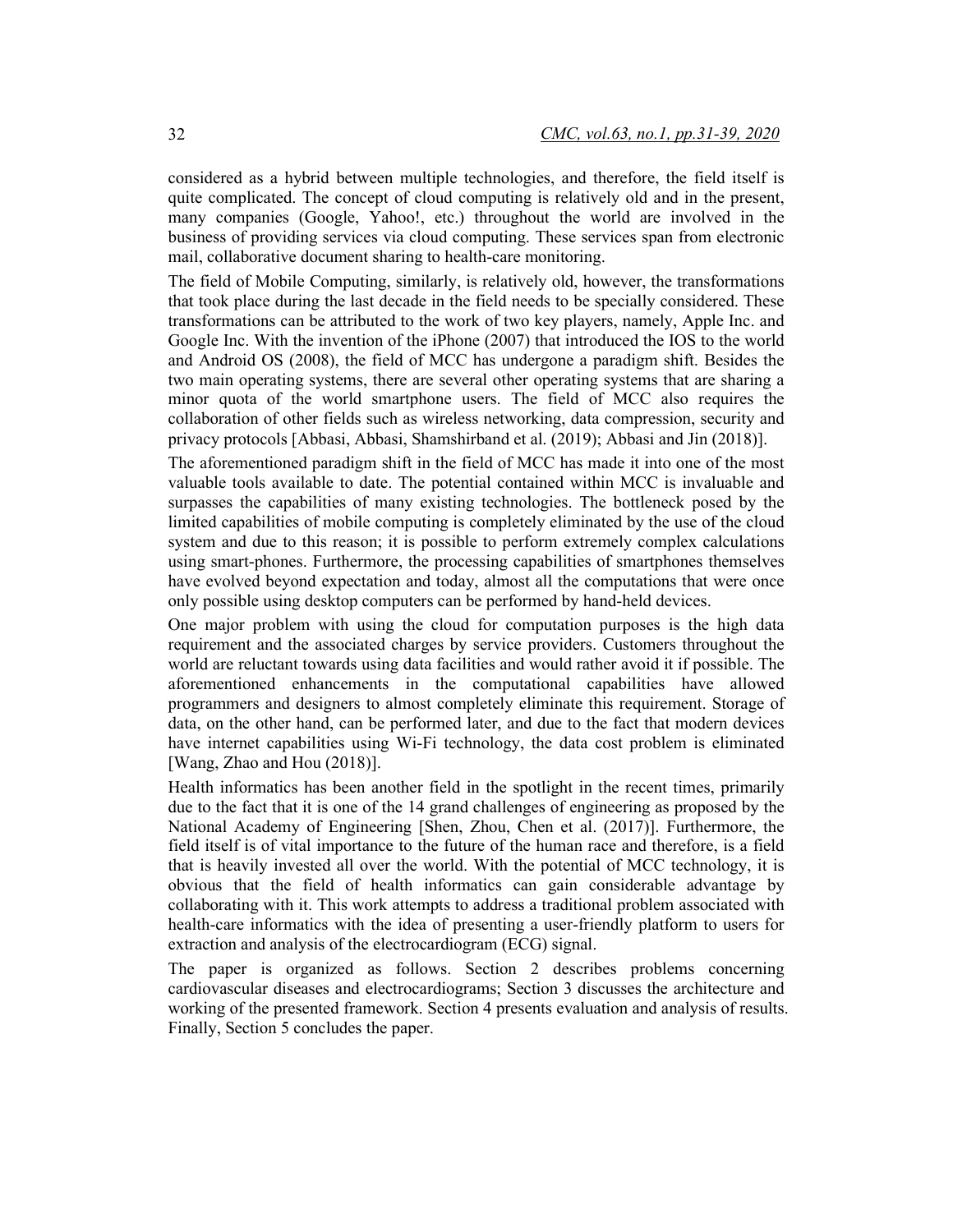considered as a hybrid between multiple technologies, and therefore, the field itself is quite complicated. The concept of cloud computing is relatively old and in the present, many companies (Google, Yahoo!, etc.) throughout the world are involved in the business of providing services via cloud computing. These services span from electronic mail, collaborative document sharing to health-care monitoring.

The field of Mobile Computing, similarly, is relatively old, however, the transformations that took place during the last decade in the field needs to be specially considered. These transformations can be attributed to the work of two key players, namely, Apple Inc. and Google Inc. With the invention of the iPhone (2007) that introduced the IOS to the world and Android OS (2008), the field of MCC has undergone a paradigm shift. Besides the two main operating systems, there are several other operating systems that are sharing a minor quota of the world smartphone users. The field of MCC also requires the collaboration of other fields such as wireless networking, data compression, security and privacy protocols [Abbasi, Abbasi, Shamshirband et al. (2019); Abbasi and Jin (2018)].

The aforementioned paradigm shift in the field of MCC has made it into one of the most valuable tools available to date. The potential contained within MCC is invaluable and surpasses the capabilities of many existing technologies. The bottleneck posed by the limited capabilities of mobile computing is completely eliminated by the use of the cloud system and due to this reason; it is possible to perform extremely complex calculations using smart-phones. Furthermore, the processing capabilities of smartphones themselves have evolved beyond expectation and today, almost all the computations that were once only possible using desktop computers can be performed by hand-held devices.

One major problem with using the cloud for computation purposes is the high data requirement and the associated charges by service providers. Customers throughout the world are reluctant towards using data facilities and would rather avoid it if possible. The aforementioned enhancements in the computational capabilities have allowed programmers and designers to almost completely eliminate this requirement. Storage of data, on the other hand, can be performed later, and due to the fact that modern devices have internet capabilities using Wi-Fi technology, the data cost problem is eliminated [Wang, Zhao and Hou (2018)].

Health informatics has been another field in the spotlight in the recent times, primarily due to the fact that it is one of the 14 grand challenges of engineering as proposed by the National Academy of Engineering [Shen, Zhou, Chen et al. (2017)]. Furthermore, the field itself is of vital importance to the future of the human race and therefore, is a field that is heavily invested all over the world. With the potential of MCC technology, it is obvious that the field of health informatics can gain considerable advantage by collaborating with it. This work attempts to address a traditional problem associated with health-care informatics with the idea of presenting a user-friendly platform to users for extraction and analysis of the electrocardiogram (ECG) signal.

The paper is organized as follows. Section 2 describes problems concerning cardiovascular diseases and electrocardiograms; Section 3 discusses the architecture and working of the presented framework. Section 4 presents evaluation and analysis of results. Finally, Section 5 concludes the paper.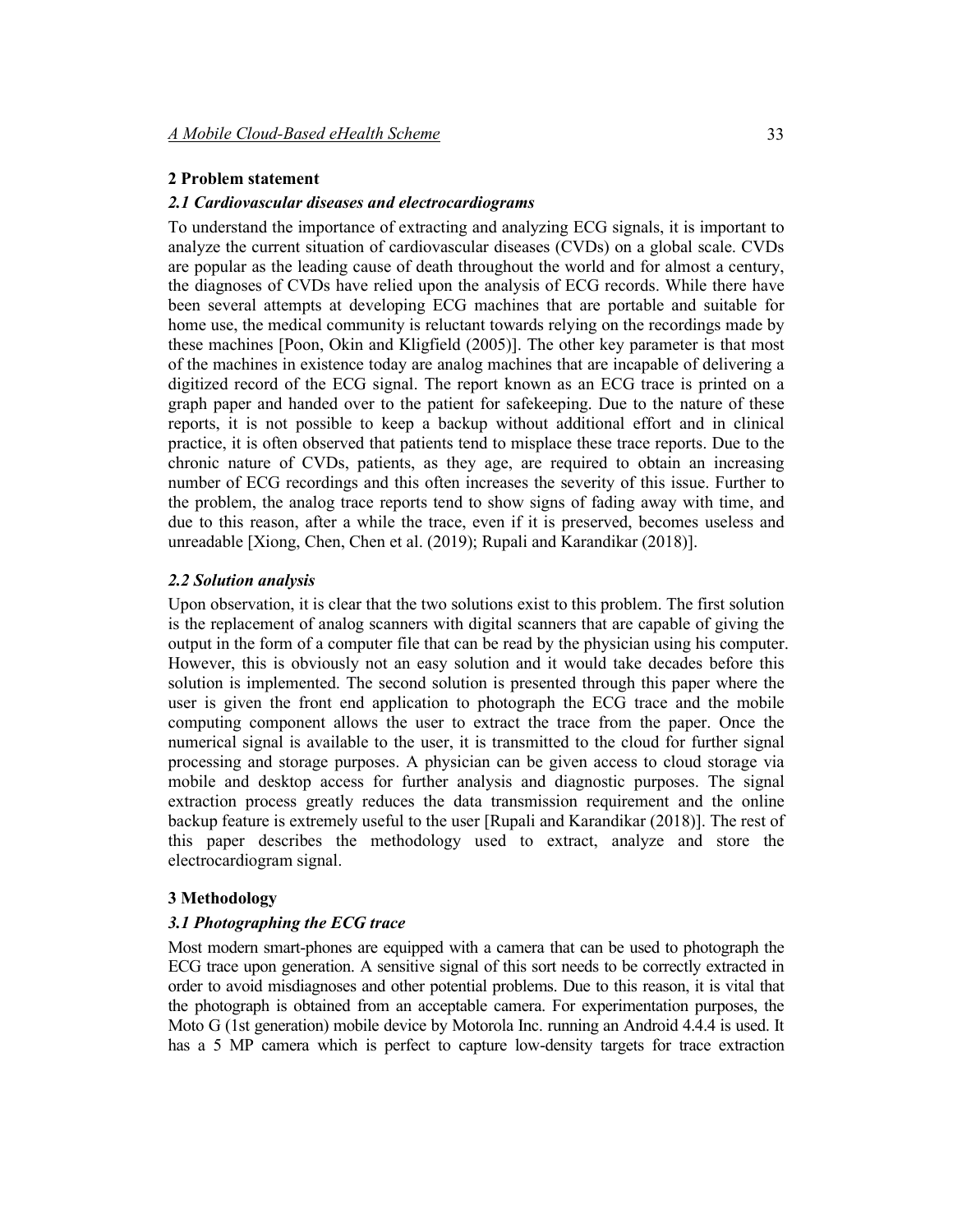# **2 Problem statement**

### *2.1 Cardiovascular diseases and electrocardiograms*

To understand the importance of extracting and analyzing ECG signals, it is important to analyze the current situation of cardiovascular diseases (CVDs) on a global scale. CVDs are popular as the leading cause of death throughout the world and for almost a century, the diagnoses of CVDs have relied upon the analysis of ECG records. While there have been several attempts at developing ECG machines that are portable and suitable for home use, the medical community is reluctant towards relying on the recordings made by these machines [Poon, Okin and Kligfield (2005)]. The other key parameter is that most of the machines in existence today are analog machines that are incapable of delivering a digitized record of the ECG signal. The report known as an ECG trace is printed on a graph paper and handed over to the patient for safekeeping. Due to the nature of these reports, it is not possible to keep a backup without additional effort and in clinical practice, it is often observed that patients tend to misplace these trace reports. Due to the chronic nature of CVDs, patients, as they age, are required to obtain an increasing number of ECG recordings and this often increases the severity of this issue. Further to the problem, the analog trace reports tend to show signs of fading away with time, and due to this reason, after a while the trace, even if it is preserved, becomes useless and unreadable [Xiong, Chen, Chen et al. (2019); Rupali and Karandikar (2018)].

#### *2.2 Solution analysis*

Upon observation, it is clear that the two solutions exist to this problem. The first solution is the replacement of analog scanners with digital scanners that are capable of giving the output in the form of a computer file that can be read by the physician using his computer. However, this is obviously not an easy solution and it would take decades before this solution is implemented. The second solution is presented through this paper where the user is given the front end application to photograph the ECG trace and the mobile computing component allows the user to extract the trace from the paper. Once the numerical signal is available to the user, it is transmitted to the cloud for further signal processing and storage purposes. A physician can be given access to cloud storage via mobile and desktop access for further analysis and diagnostic purposes. The signal extraction process greatly reduces the data transmission requirement and the online backup feature is extremely useful to the user [Rupali and Karandikar (2018)]. The rest of this paper describes the methodology used to extract, analyze and store the electrocardiogram signal.

#### **3 Methodology**

#### *3.1 Photographing the ECG trace*

Most modern smart-phones are equipped with a camera that can be used to photograph the ECG trace upon generation. A sensitive signal of this sort needs to be correctly extracted in order to avoid misdiagnoses and other potential problems. Due to this reason, it is vital that the photograph is obtained from an acceptable camera. For experimentation purposes, the Moto G (1st generation) mobile device by Motorola Inc. running an Android 4.4.4 is used. It has a 5 MP camera which is perfect to capture low-density targets for trace extraction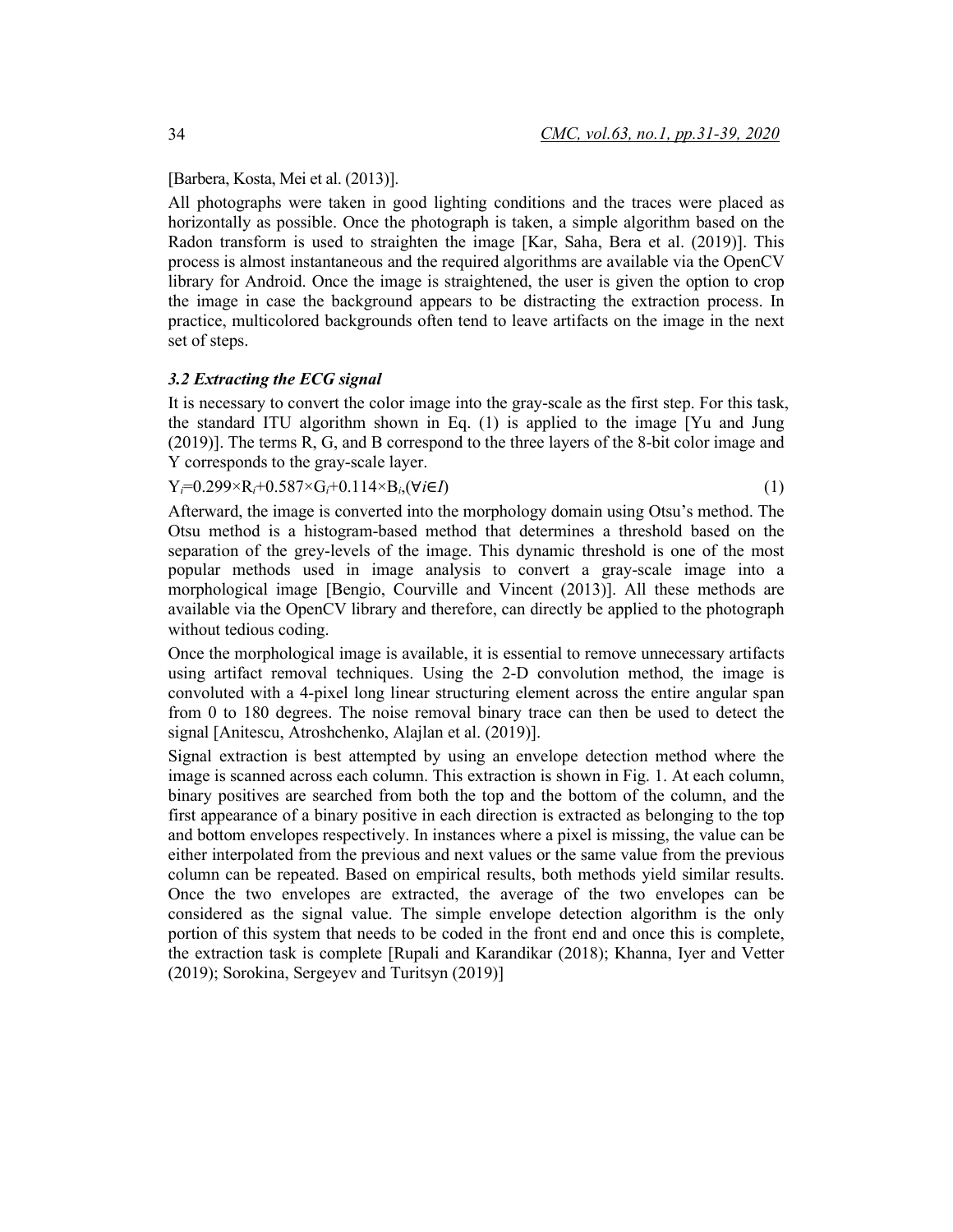[Barbera, Kosta, Mei et al. (2013)].

All photographs were taken in good lighting conditions and the traces were placed as horizontally as possible. Once the photograph is taken, a simple algorithm based on the Radon transform is used to straighten the image [Kar, Saha, Bera et al. (2019)]. This process is almost instantaneous and the required algorithms are available via the OpenCV library for Android. Once the image is straightened, the user is given the option to crop the image in case the background appears to be distracting the extraction process. In practice, multicolored backgrounds often tend to leave artifacts on the image in the next set of steps.

# *3.2 Extracting the ECG signal*

It is necessary to convert the color image into the gray-scale as the first step. For this task, the standard ITU algorithm shown in Eq. (1) is applied to the image [Yu and Jung (2019)]. The terms R, G, and B correspond to the three layers of the 8-bit color image and Y corresponds to the gray-scale layer.

 $Y_i=0.299\times R_i+0.587\times G_i+0.114\times B_i$ ,  $(\forall i \in I)$  (1)

Afterward, the image is converted into the morphology domain using Otsu's method. The Otsu method is a histogram-based method that determines a threshold based on the separation of the grey-levels of the image. This dynamic threshold is one of the most popular methods used in image analysis to convert a gray-scale image into a morphological image [Bengio, Courville and Vincent (2013)]. All these methods are available via the OpenCV library and therefore, can directly be applied to the photograph without tedious coding.

Once the morphological image is available, it is essential to remove unnecessary artifacts using artifact removal techniques. Using the 2-D convolution method, the image is convoluted with a 4-pixel long linear structuring element across the entire angular span from 0 to 180 degrees. The noise removal binary trace can then be used to detect the signal [Anitescu, Atroshchenko, Alajlan et al. (2019)].

Signal extraction is best attempted by using an envelope detection method where the image is scanned across each column. This extraction is shown in Fig. 1. At each column, binary positives are searched from both the top and the bottom of the column, and the first appearance of a binary positive in each direction is extracted as belonging to the top and bottom envelopes respectively. In instances where a pixel is missing, the value can be either interpolated from the previous and next values or the same value from the previous column can be repeated. Based on empirical results, both methods yield similar results. Once the two envelopes are extracted, the average of the two envelopes can be considered as the signal value. The simple envelope detection algorithm is the only portion of this system that needs to be coded in the front end and once this is complete, the extraction task is complete [Rupali and Karandikar (2018); Khanna, Iyer and Vetter (2019); Sorokina, Sergeyev and Turitsyn (2019)]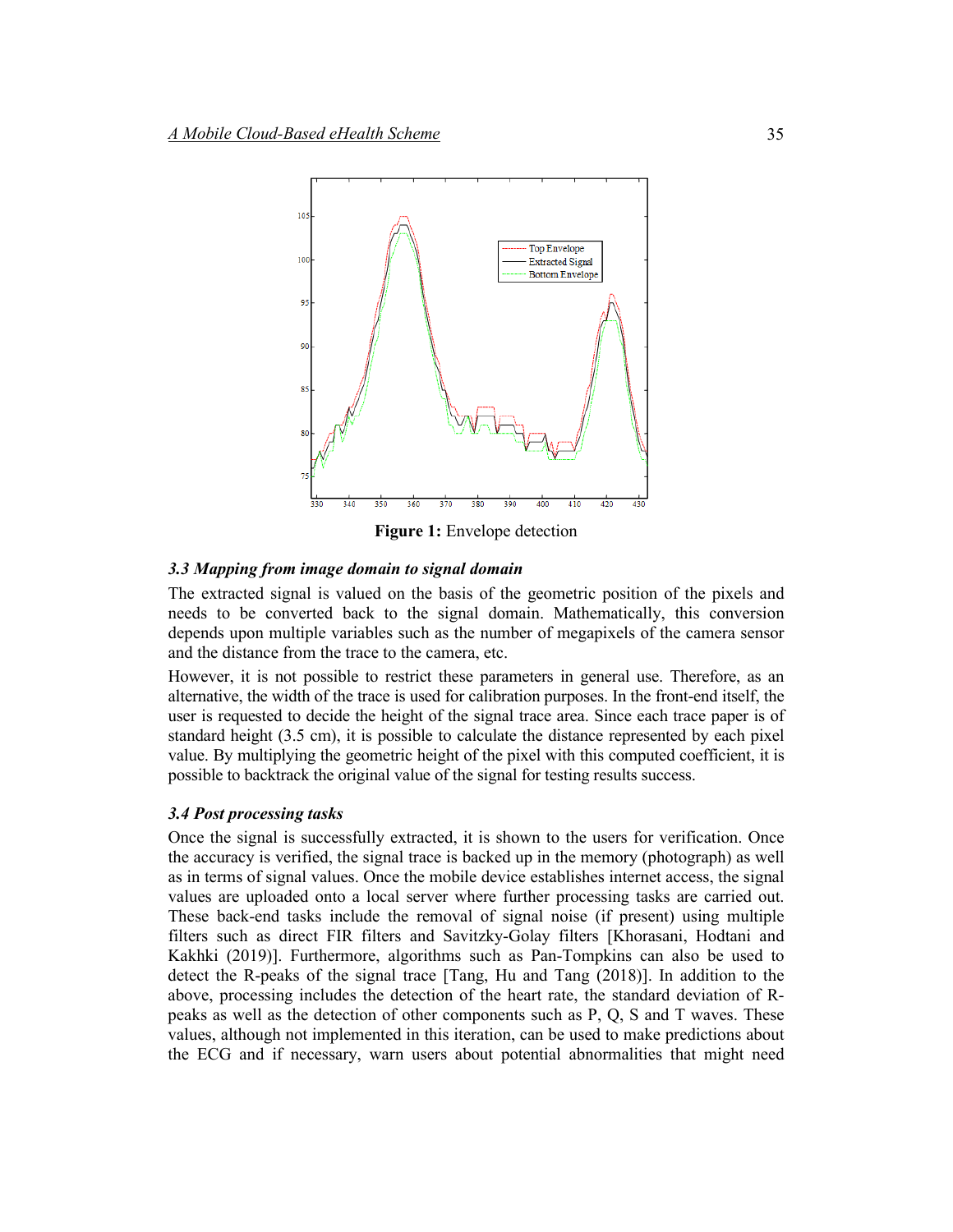

**Figure 1:** Envelope detection

### *3.3 Mapping from image domain to signal domain*

The extracted signal is valued on the basis of the geometric position of the pixels and needs to be converted back to the signal domain. Mathematically, this conversion depends upon multiple variables such as the number of megapixels of the camera sensor and the distance from the trace to the camera, etc.

However, it is not possible to restrict these parameters in general use. Therefore, as an alternative, the width of the trace is used for calibration purposes. In the front-end itself, the user is requested to decide the height of the signal trace area. Since each trace paper is of standard height (3.5 cm), it is possible to calculate the distance represented by each pixel value. By multiplying the geometric height of the pixel with this computed coefficient, it is possible to backtrack the original value of the signal for testing results success.

# *3.4 Post processing tasks*

Once the signal is successfully extracted, it is shown to the users for verification. Once the accuracy is verified, the signal trace is backed up in the memory (photograph) as well as in terms of signal values. Once the mobile device establishes internet access, the signal values are uploaded onto a local server where further processing tasks are carried out. These back-end tasks include the removal of signal noise (if present) using multiple filters such as direct FIR filters and Savitzky-Golay filters [Khorasani, Hodtani and Kakhki (2019)]. Furthermore, algorithms such as Pan-Tompkins can also be used to detect the R-peaks of the signal trace [Tang, Hu and Tang (2018)]. In addition to the above, processing includes the detection of the heart rate, the standard deviation of Rpeaks as well as the detection of other components such as P, Q, S and T waves. These values, although not implemented in this iteration, can be used to make predictions about the ECG and if necessary, warn users about potential abnormalities that might need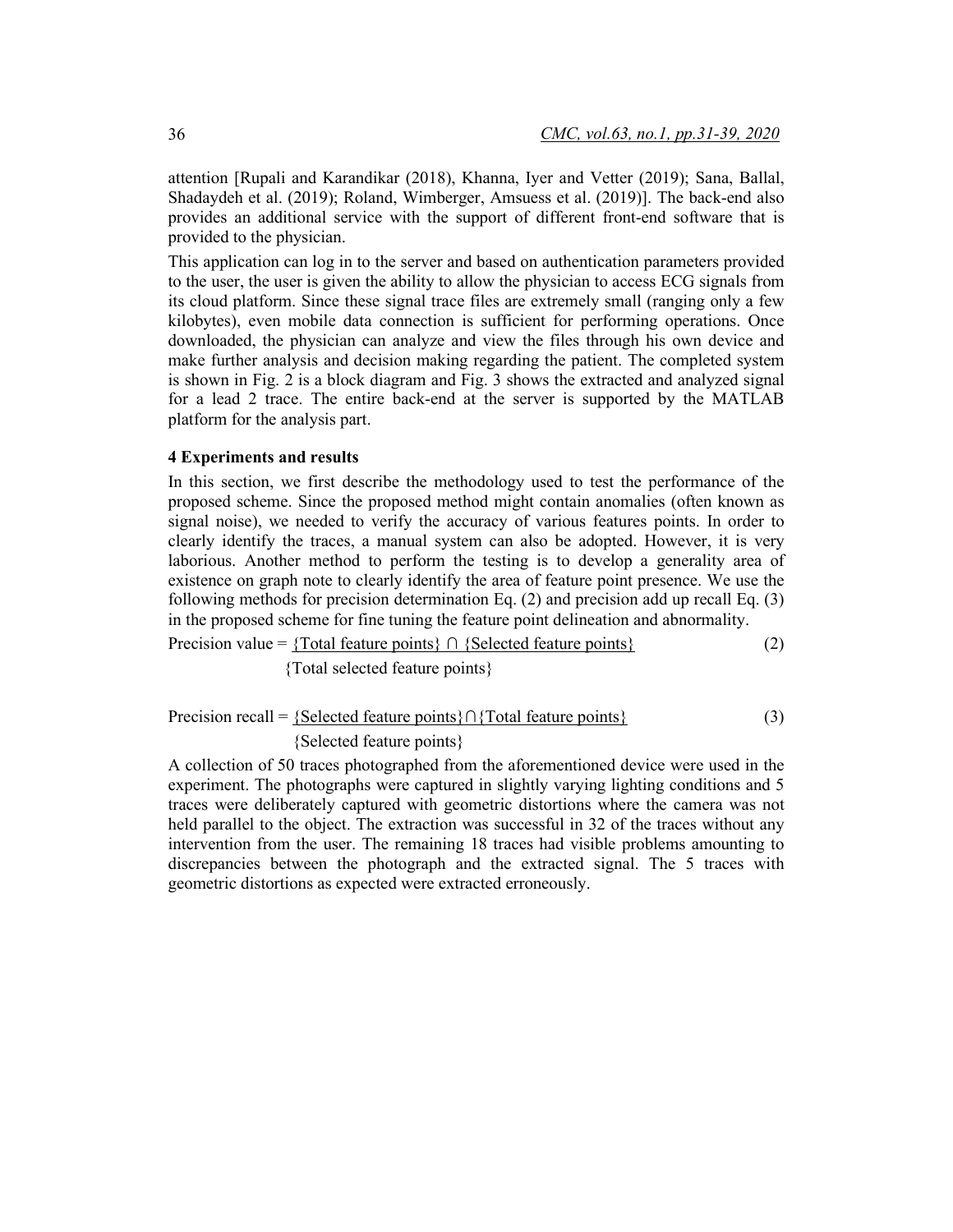attention [Rupali and Karandikar (2018), Khanna, Iyer and Vetter (2019); Sana, Ballal, Shadaydeh et al. (2019); Roland, Wimberger, Amsuess et al. (2019)]. The back-end also provides an additional service with the support of different front-end software that is provided to the physician.

This application can log in to the server and based on authentication parameters provided to the user, the user is given the ability to allow the physician to access ECG signals from its cloud platform. Since these signal trace files are extremely small (ranging only a few kilobytes), even mobile data connection is sufficient for performing operations. Once downloaded, the physician can analyze and view the files through his own device and make further analysis and decision making regarding the patient. The completed system is shown in Fig. 2 is a block diagram and Fig. 3 shows the extracted and analyzed signal for a lead 2 trace. The entire back-end at the server is supported by the MATLAB platform for the analysis part.

# **4 Experiments and results**

In this section, we first describe the methodology used to test the performance of the proposed scheme. Since the proposed method might contain anomalies (often known as signal noise), we needed to verify the accuracy of various features points. In order to clearly identify the traces, a manual system can also be adopted. However, it is very laborious. Another method to perform the testing is to develop a generality area of existence on graph note to clearly identify the area of feature point presence. We use the following methods for precision determination Eq. (2) and precision add up recall Eq. (3) in the proposed scheme for fine tuning the feature point delineation and abnormality.

```
Precision value = {Total feature points} ∩ {Selected feature points}
                                                                          (2)
```
{Total selected feature points}

```
Precision recall = {Selected feature points}∩{Total feature points}
       {Selected feature points} 
                                                                             (3)
```
A collection of 50 traces photographed from the aforementioned device were used in the experiment. The photographs were captured in slightly varying lighting conditions and 5 traces were deliberately captured with geometric distortions where the camera was not held parallel to the object. The extraction was successful in 32 of the traces without any intervention from the user. The remaining 18 traces had visible problems amounting to discrepancies between the photograph and the extracted signal. The 5 traces with geometric distortions as expected were extracted erroneously.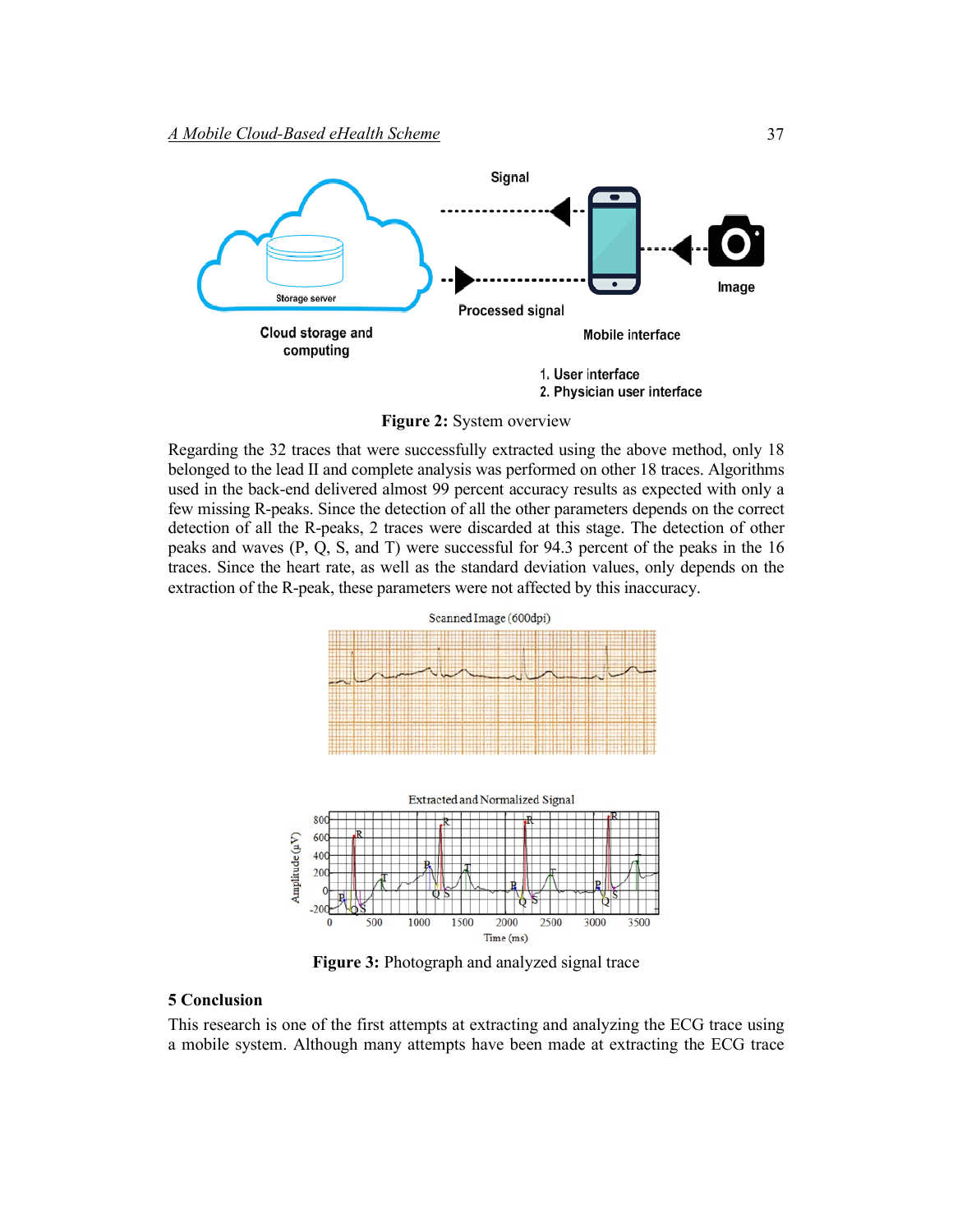

**Figure 2:** System overview

Regarding the 32 traces that were successfully extracted using the above method, only 18 belonged to the lead II and complete analysis was performed on other 18 traces. Algorithms used in the back-end delivered almost 99 percent accuracy results as expected with only a few missing R-peaks. Since the detection of all the other parameters depends on the correct detection of all the R-peaks, 2 traces were discarded at this stage. The detection of other peaks and waves (P, Q, S, and T) were successful for 94.3 percent of the peaks in the 16 traces. Since the heart rate, as well as the standard deviation values, only depends on the extraction of the R-peak, these parameters were not affected by this inaccuracy.



**Figure 3:** Photograph and analyzed signal trace

# **5 Conclusion**

This research is one of the first attempts at extracting and analyzing the ECG trace using a mobile system. Although many attempts have been made at extracting the ECG trace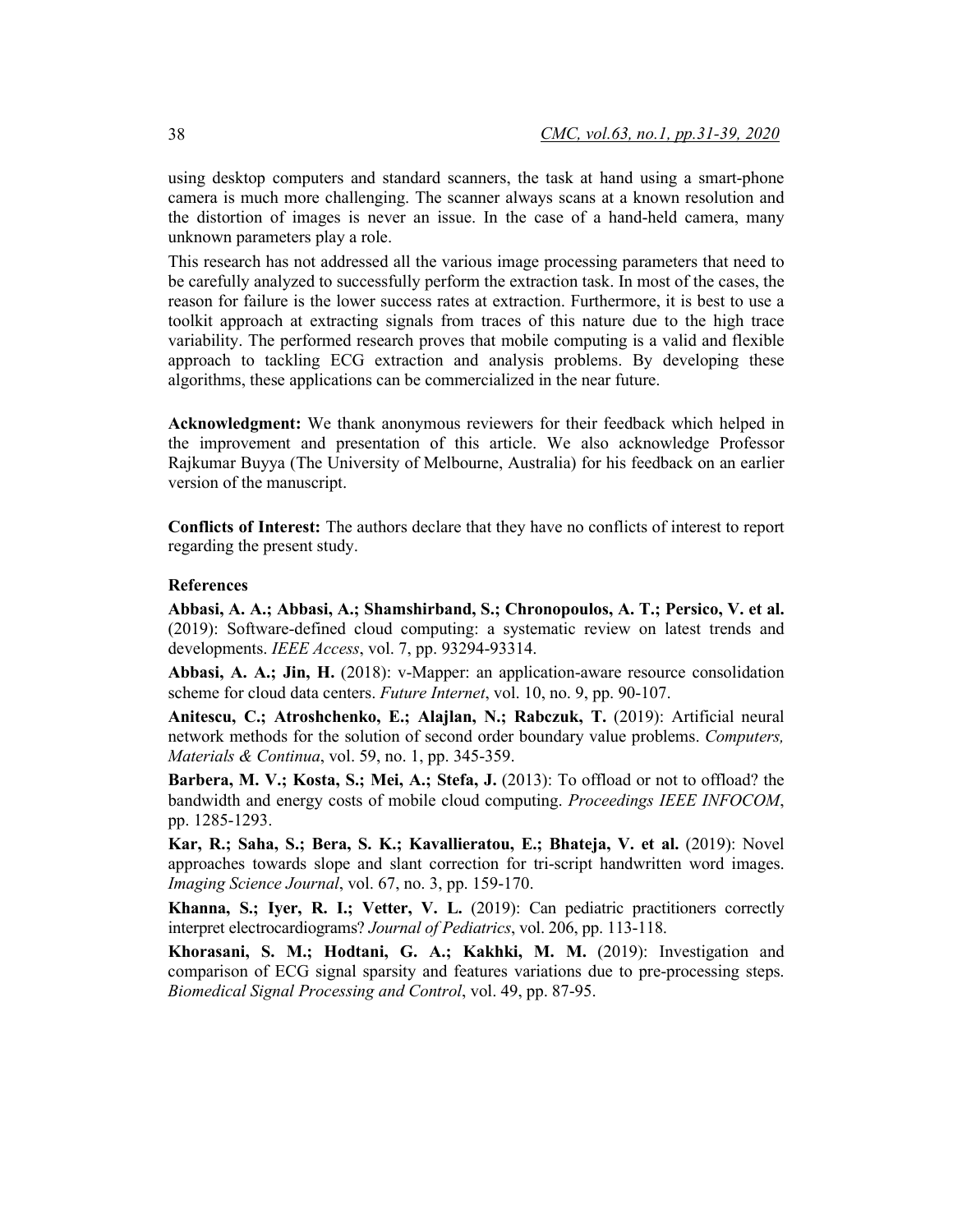using desktop computers and standard scanners, the task at hand using a smart-phone camera is much more challenging. The scanner always scans at a known resolution and the distortion of images is never an issue. In the case of a hand-held camera, many unknown parameters play a role.

This research has not addressed all the various image processing parameters that need to be carefully analyzed to successfully perform the extraction task. In most of the cases, the reason for failure is the lower success rates at extraction. Furthermore, it is best to use a toolkit approach at extracting signals from traces of this nature due to the high trace variability. The performed research proves that mobile computing is a valid and flexible approach to tackling ECG extraction and analysis problems. By developing these algorithms, these applications can be commercialized in the near future.

**Acknowledgment:** We thank anonymous reviewers for their feedback which helped in the improvement and presentation of this article. We also acknowledge Professor Rajkumar Buyya (The University of Melbourne, Australia) for his feedback on an earlier version of the manuscript.

**Conflicts of Interest:** The authors declare that they have no conflicts of interest to report regarding the present study.

#### **References**

**Abbasi, A. A.; Abbasi, A.; Shamshirband, S.; Chronopoulos, A. T.; Persico, V. et al.** (2019): Software-defined cloud computing: a systematic review on latest trends and developments. *IEEE Access*, vol. 7, pp. 93294-93314.

**Abbasi, A. A.; Jin, H.** (2018): v-Mapper: an application-aware resource consolidation scheme for cloud data centers. *Future Internet*, vol. 10, no. 9, pp. 90-107.

**Anitescu, C.; Atroshchenko, E.; Alajlan, N.; Rabczuk, T.** (2019): Artificial neural network methods for the solution of second order boundary value problems. *Computers, Materials & Continua*, vol. 59, no. 1, pp. 345-359.

**Barbera, M. V.; Kosta, S.; Mei, A.; Stefa, J.** (2013): To offload or not to offload? the bandwidth and energy costs of mobile cloud computing. *Proceedings IEEE INFOCOM*, pp. 1285-1293.

**Kar, R.; Saha, S.; Bera, S. K.; Kavallieratou, E.; Bhateja, V. et al.** (2019): Novel approaches towards slope and slant correction for tri-script handwritten word images. *Imaging Science Journal*, vol. 67, no. 3, pp. 159-170.

**Khanna, S.; Iyer, R. I.; Vetter, V. L.** (2019): Can pediatric practitioners correctly interpret electrocardiograms? *Journal of Pediatrics*, vol. 206, pp. 113-118.

**Khorasani, S. M.; Hodtani, G. A.; Kakhki, M. M.** (2019): Investigation and comparison of ECG signal sparsity and features variations due to pre-processing steps. *Biomedical Signal Processing and Control*, vol. 49, pp. 87-95.